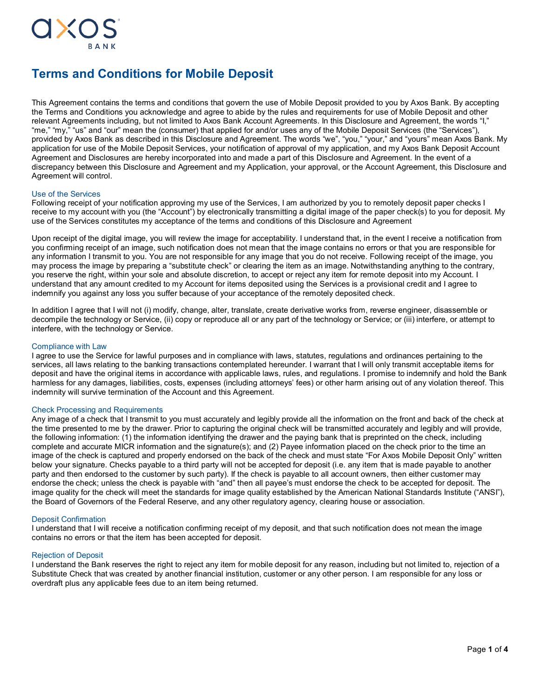

# **Terms and Conditions for Mobile Deposit**

This Agreement contains the terms and conditions that govern the use of Mobile Deposit provided to you by Axos Bank. By accepting the Terms and Conditions you acknowledge and agree to abide by the rules and requirements for use of Mobile Deposit and other relevant Agreements including, but not limited to Axos Bank Account Agreements. In this Disclosure and Agreement, the words "I," "me," "my," "us" and "our" mean the (consumer) that applied for and/or uses any of the Mobile Deposit Services (the "Services"), provided by Axos Bank as described in this Disclosure and Agreement. The words "we", "you," "your," and "yours" mean Axos Bank. My application for use of the Mobile Deposit Services, your notification of approval of my application, and my Axos Bank Deposit Account Agreement and Disclosures are hereby incorporated into and made a part of this Disclosure and Agreement. In the event of a discrepancy between this Disclosure and Agreement and my Application, your approval, or the Account Agreement, this Disclosure and Agreement will control.

## Use of the Services

Following receipt of your notification approving my use of the Services, I am authorized by you to remotely deposit paper checks I receive to my account with you (the "Account") by electronically transmitting a digital image of the paper check(s) to you for deposit. My use of the Services constitutes my acceptance of the terms and conditions of this Disclosure and Agreement

Upon receipt of the digital image, you will review the image for acceptability. I understand that, in the event I receive a notification from you confirming receipt of an image, such notification does not mean that the image contains no errors or that you are responsible for any information I transmit to you. You are not responsible for any image that you do not receive. Following receipt of the image, you may process the image by preparing a "substitute check" or clearing the item as an image. Notwithstanding anything to the contrary, you reserve the right, within your sole and absolute discretion, to accept or reject any item for remote deposit into my Account. I understand that any amount credited to my Account for items deposited using the Services is a provisional credit and I agree to indemnify you against any loss you suffer because of your acceptance of the remotely deposited check.

In addition I agree that I will not (i) modify, change, alter, translate, create derivative works from, reverse engineer, disassemble or decompile the technology or Service, (ii) copy or reproduce all or any part of the technology or Service; or (iii) interfere, or attempt to interfere, with the technology or Service.

## Compliance with Law

I agree to use the Service for lawful purposes and in compliance with laws, statutes, regulations and ordinances pertaining to the services, all laws relating to the banking transactions contemplated hereunder. I warrant that I will only transmit acceptable items for deposit and have the original items in accordance with applicable laws, rules, and regulations. I promise to indemnify and hold the Bank harmless for any damages, liabilities, costs, expenses (including attorneys' fees) or other harm arising out of any violation thereof. This indemnity will survive termination of the Account and this Agreement.

## Check Processing and Requirements

Any image of a check that I transmit to you must accurately and legibly provide all the information on the front and back of the check at the time presented to me by the drawer. Prior to capturing the original check will be transmitted accurately and legibly and will provide, the following information: (1) the information identifying the drawer and the paying bank that is preprinted on the check, including complete and accurate MICR information and the signature(s); and (2) Payee information placed on the check prior to the time an image of the check is captured and properly endorsed on the back of the check and must state "For Axos Mobile Deposit Only" written below your signature. Checks payable to a third party will not be accepted for deposit (i.e. any item that is made payable to another party and then endorsed to the customer by such party). If the check is payable to all account owners, then either customer may endorse the check; unless the check is payable with "and" then all payee's must endorse the check to be accepted for deposit. The image quality for the check will meet the standards for image quality established by the American National Standards Institute ("ANSI"), the Board of Governors of the Federal Reserve, and any other regulatory agency, clearing house or association.

## Deposit Confirmation

I understand that I will receive a notification confirming receipt of my deposit, and that such notification does not mean the image contains no errors or that the item has been accepted for deposit.

# Rejection of Deposit

I understand the Bank reserves the right to reject any item for mobile deposit for any reason, including but not limited to, rejection of a Substitute Check that was created by another financial institution, customer or any other person. I am responsible for any loss or overdraft plus any applicable fees due to an item being returned.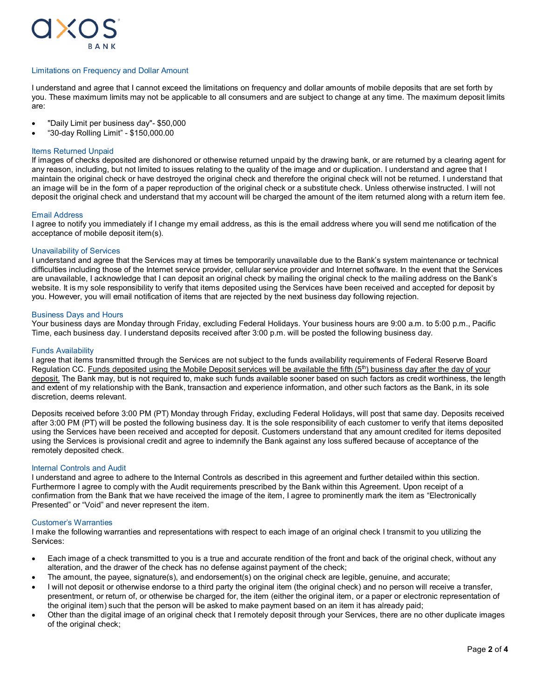

## Limitations on Frequency and Dollar Amount

I understand and agree that I cannot exceed the limitations on frequency and dollar amounts of mobile deposits that are set forth by you. These maximum limits may not be applicable to all consumers and are subject to change at any time. The maximum deposit limits are:

- "Daily Limit per business day"- \$50,000
- "30-day Rolling Limit" \$150,000.00

# Items Returned Unpaid

If images of checks deposited are dishonored or otherwise returned unpaid by the drawing bank, or are returned by a clearing agent for any reason, including, but not limited to issues relating to the quality of the image and or duplication. I understand and agree that I maintain the original check or have destroyed the original check and therefore the original check will not be returned. I understand that an image will be in the form of a paper reproduction of the original check or a substitute check. Unless otherwise instructed. I will not deposit the original check and understand that my account will be charged the amount of the item returned along with a return item fee.

## Email Address

I agree to notify you immediately if I change my email address, as this is the email address where you will send me notification of the acceptance of mobile deposit item(s).

## Unavailability of Services

I understand and agree that the Services may at times be temporarily unavailable due to the Bank's system maintenance or technical difficulties including those of the Internet service provider, cellular service provider and Internet software. In the event that the Services are unavailable, I acknowledge that I can deposit an original check by mailing the original check to the mailing address on the Bank's website. It is my sole responsibility to verify that items deposited using the Services have been received and accepted for deposit by you. However, you will email notification of items that are rejected by the next business day following rejection.

## Business Days and Hours

Your business days are Monday through Friday, excluding Federal Holidays. Your business hours are 9:00 a.m. to 5:00 p.m., Pacific Time, each business day. I understand deposits received after 3:00 p.m. will be posted the following business day.

## Funds Availability

I agree that items transmitted through the Services are not subject to the funds availability requirements of Federal Reserve Board Regulation CC. Funds deposited using the Mobile Deposit services will be available the fifth (5<sup>th</sup>) business day after the day of your deposit. The Bank may, but is not required to, make such funds available sooner based on such factors as credit worthiness, the length and extent of my relationship with the Bank, transaction and experience information, and other such factors as the Bank, in its sole discretion, deems relevant.

Deposits received before 3:00 PM (PT) Monday through Friday, excluding Federal Holidays, will post that same day. Deposits received after 3:00 PM (PT) will be posted the following business day. It is the sole responsibility of each customer to verify that items deposited using the Services have been received and accepted for deposit. Customers understand that any amount credited for items deposited using the Services is provisional credit and agree to indemnify the Bank against any loss suffered because of acceptance of the remotely deposited check.

## Internal Controls and Audit

I understand and agree to adhere to the Internal Controls as described in this agreement and further detailed within this section. Furthermore I agree to comply with the Audit requirements prescribed by the Bank within this Agreement. Upon receipt of a confirmation from the Bank that we have received the image of the item, I agree to prominently mark the item as "Electronically Presented" or "Void" and never represent the item.

## Customer's Warranties

I make the following warranties and representations with respect to each image of an original check I transmit to you utilizing the Services:

- Each image of a check transmitted to you is a true and accurate rendition of the front and back of the original check, without any alteration, and the drawer of the check has no defense against payment of the check;
- The amount, the payee, signature(s), and endorsement(s) on the original check are legible, genuine, and accurate;
- I will not deposit or otherwise endorse to a third party the original item (the original check) and no person will receive a transfer, presentment, or return of, or otherwise be charged for, the item (either the original item, or a paper or electronic representation of the original item) such that the person will be asked to make payment based on an item it has already paid;
- Other than the digital image of an original check that I remotely deposit through your Services, there are no other duplicate images of the original check;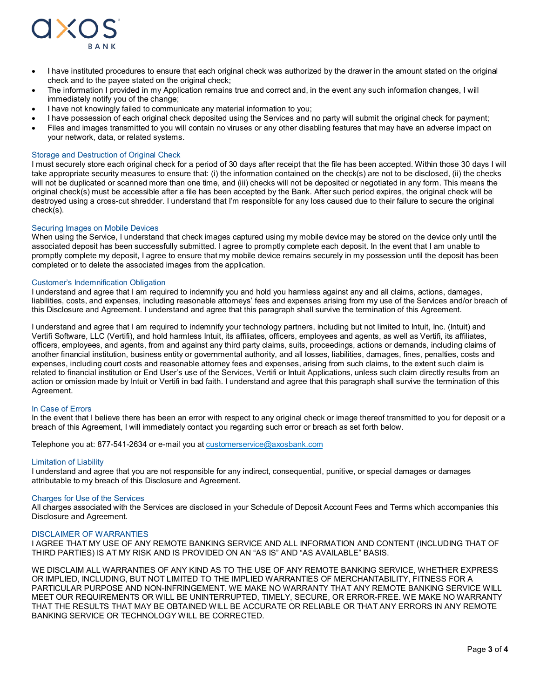

- I have instituted procedures to ensure that each original check was authorized by the drawer in the amount stated on the original check and to the payee stated on the original check;
- The information I provided in my Application remains true and correct and, in the event any such information changes, I will immediately notify you of the change;
- I have not knowingly failed to communicate any material information to you;
- I have possession of each original check deposited using the Services and no party will submit the original check for payment;
- Files and images transmitted to you will contain no viruses or any other disabling features that may have an adverse impact on your network, data, or related systems.

# Storage and Destruction of Original Check

I must securely store each original check for a period of 30 days after receipt that the file has been accepted. Within those 30 days I will take appropriate security measures to ensure that: (i) the information contained on the check(s) are not to be disclosed, (ii) the checks will not be duplicated or scanned more than one time, and (iii) checks will not be deposited or negotiated in any form. This means the original check(s) must be accessible after a file has been accepted by the Bank. After such period expires, the original check will be destroyed using a cross-cut shredder. I understand that I'm responsible for any loss caused due to their failure to secure the original check(s).

## Securing Images on Mobile Devices

When using the Service, I understand that check images captured using my mobile device may be stored on the device only until the associated deposit has been successfully submitted. I agree to promptly complete each deposit. In the event that I am unable to promptly complete my deposit, I agree to ensure that my mobile device remains securely in my possession until the deposit has been completed or to delete the associated images from the application.

## Customer's Indemnification Obligation

I understand and agree that I am required to indemnify you and hold you harmless against any and all claims, actions, damages, liabilities, costs, and expenses, including reasonable attorneys' fees and expenses arising from my use of the Services and/or breach of this Disclosure and Agreement. I understand and agree that this paragraph shall survive the termination of this Agreement.

I understand and agree that I am required to indemnify your technology partners, including but not limited to Intuit, Inc. (Intuit) and Vertifi Software, LLC (Vertifi), and hold harmless Intuit, its affiliates, officers, employees and agents, as well as Vertifi, its affiliates, officers, employees, and agents, from and against any third party claims, suits, proceedings, actions or demands, including claims of another financial institution, business entity or governmental authority, and all losses, liabilities, damages, fines, penalties, costs and expenses, including court costs and reasonable attorney fees and expenses, arising from such claims, to the extent such claim is related to financial institution or End User's use of the Services, Vertifi or Intuit Applications, unless such claim directly results from an action or omission made by Intuit or Vertifi in bad faith. I understand and agree that this paragraph shall survive the termination of this Agreement.

## In Case of Errors

In the event that I believe there has been an error with respect to any original check or image thereof transmitted to you for deposit or a breach of this Agreement, I will immediately contact you regarding such error or breach as set forth below.

Telephone you at: 877-541-2634 or e-mail you a[t customerservice@axosbank.com](mailto:customerservice@axosbank.com)

#### Limitation of Liability

I understand and agree that you are not responsible for any indirect, consequential, punitive, or special damages or damages attributable to my breach of this Disclosure and Agreement.

#### Charges for Use of the Services

All charges associated with the Services are disclosed in your Schedule of Deposit Account Fees and Terms which accompanies this Disclosure and Agreement.

#### DISCLAIMER OF WARRANTIES

I AGREE THAT MY USE OF ANY REMOTE BANKING SERVICE AND ALL INFORMATION AND CONTENT (INCLUDING THAT OF THIRD PARTIES) IS AT MY RISK AND IS PROVIDED ON AN "AS IS" AND "AS AVAILABLE" BASIS.

WE DISCLAIM ALL WARRANTIES OF ANY KIND AS TO THE USE OF ANY REMOTE BANKING SERVICE, WHETHER EXPRESS OR IMPLIED, INCLUDING, BUT NOT LIMITED TO THE IMPLIED WARRANTIES OF MERCHANTABILITY, FITNESS FOR A PARTICULAR PURPOSE AND NON-INFRINGEMENT. WE MAKE NO WARRANTY THAT ANY REMOTE BANKING SERVICE WILL MEET OUR REQUIREMENTS OR WILL BE UNINTERRUPTED, TIMELY, SECURE, OR ERROR-FREE. WE MAKE NO WARRANTY THAT THE RESULTS THAT MAY BE OBTAINED WILL BE ACCURATE OR RELIABLE OR THAT ANY ERRORS IN ANY REMOTE BANKING SERVICE OR TECHNOLOGY WILL BE CORRECTED.